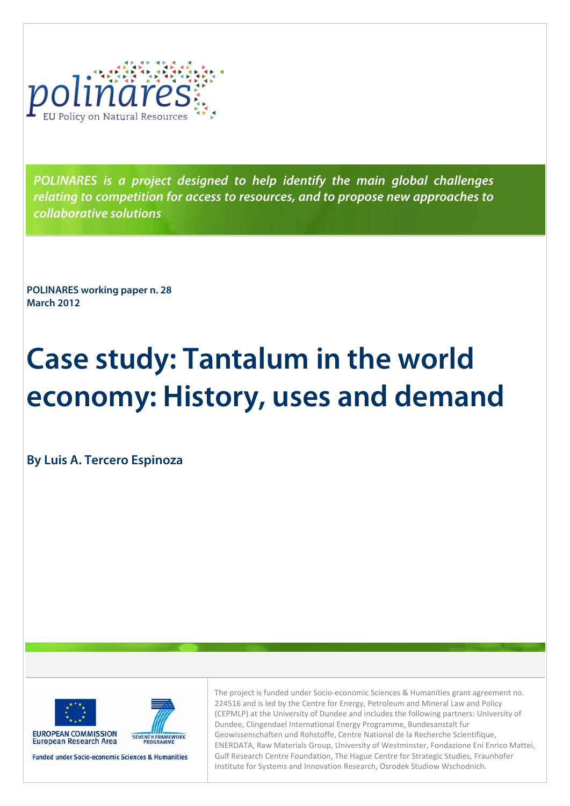

**POLINARES is a project designed to help identify the main global challenges relating to competition for access to resources, and to propose new approaches to collaborative solutions** 

**POLINARES working paper n. 28 March 2012** 

# **Case study: Tantalum in the world economy: History, uses and demand**

**By Luis A. Tercero Espinoza** 



SEVENTH FRAMEWORK

**Funded under Socio-economic Sciences & Humanities** 

The project is funded under Socio-economic Sciences & Humanities grant agreement no. 224516 and is led by the Centre for Energy, Petroleum and Mineral Law and Policy (CEPMLP) at the University of Dundee and includes the following partners: University of Dundee, Clingendael International Energy Programme, Bundesanstalt fur Geowissenschaften und Rohstoffe, Centre National de la Recherche Scientifique, ENERDATA, Raw Materials Group, University of Westminster, Fondazione Eni Enrico Mattei, Gulf Research Centre Foundation, The Hague Centre for Strategic Studies, Fraunhofer Institute for Systems and Innovation Research, Osrodek Studiow Wschodnich.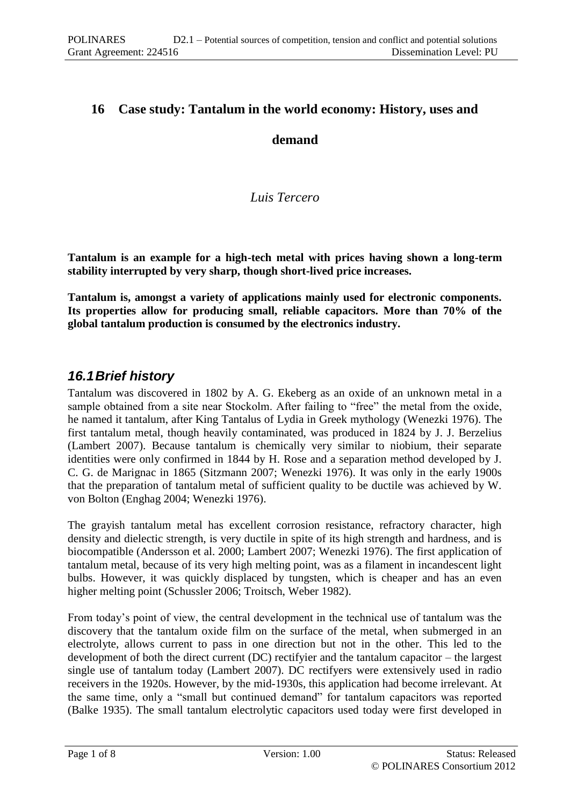## **16 Case study: Tantalum in the world economy: History, uses and**

## **demand**

## *Luis Tercero*

**Tantalum is an example for a high-tech metal with prices having shown a long-term stability interrupted by very sharp, though short-lived price increases.**

**Tantalum is, amongst a variety of applications mainly used for electronic components. Its properties allow for producing small, reliable capacitors. More than 70% of the global tantalum production is consumed by the electronics industry.** 

# *16.1Brief history*

Tantalum was discovered in 1802 by A. G. Ekeberg as an oxide of an unknown metal in a sample obtained from a site near Stockolm. After failing to "free" the metal from the oxide, he named it tantalum, after King Tantalus of Lydia in Greek mythology (Wenezki 1976). The first tantalum metal, though heavily contaminated, was produced in 1824 by J. J. Berzelius (Lambert 2007). Because tantalum is chemically very similar to niobium, their separate identities were only confirmed in 1844 by H. Rose and a separation method developed by J. C. G. de Marignac in 1865 (Sitzmann 2007; Wenezki 1976). It was only in the early 1900s that the preparation of tantalum metal of sufficient quality to be ductile was achieved by W. von Bolton (Enghag 2004; Wenezki 1976).

The grayish tantalum metal has excellent corrosion resistance, refractory character, high density and dielectic strength, is very ductile in spite of its high strength and hardness, and is biocompatible (Andersson et al. 2000; Lambert 2007; Wenezki 1976). The first application of tantalum metal, because of its very high melting point, was as a filament in incandescent light bulbs. However, it was quickly displaced by tungsten, which is cheaper and has an even higher melting point (Schussler 2006; Troitsch, Weber 1982).

From today's point of view, the central development in the technical use of tantalum was the discovery that the tantalum oxide film on the surface of the metal, when submerged in an electrolyte, allows current to pass in one direction but not in the other. This led to the development of both the direct current (DC) rectifyier and the tantalum capacitor – the largest single use of tantalum today (Lambert 2007). DC rectifyers were extensively used in radio receivers in the 1920s. However, by the mid-1930s, this application had become irrelevant. At the same time, only a "small but continued demand" for tantalum capacitors was reported (Balke 1935). The small tantalum electrolytic capacitors used today were first developed in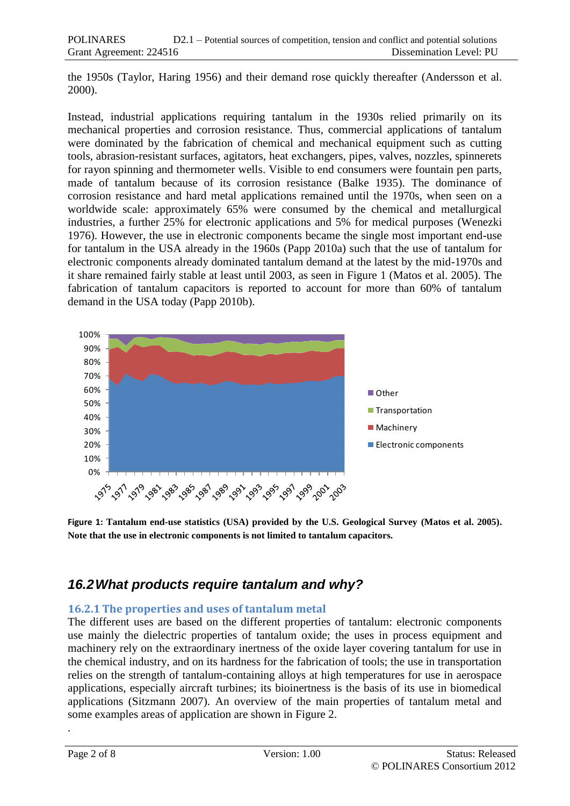the 1950s (Taylor, Haring 1956) and their demand rose quickly thereafter (Andersson et al. 2000).

Instead, industrial applications requiring tantalum in the 1930s relied primarily on its mechanical properties and corrosion resistance. Thus, commercial applications of tantalum were dominated by the fabrication of chemical and mechanical equipment such as cutting tools, abrasion-resistant surfaces, agitators, heat exchangers, pipes, valves, nozzles, spinnerets for rayon spinning and thermometer wells. Visible to end consumers were fountain pen parts, made of tantalum because of its corrosion resistance (Balke 1935). The dominance of corrosion resistance and hard metal applications remained until the 1970s, when seen on a worldwide scale: approximately 65% were consumed by the chemical and metallurgical industries, a further 25% for electronic applications and 5% for medical purposes (Wenezki 1976). However, the use in electronic components became the single most important end-use for tantalum in the USA already in the 1960s (Papp 2010a) such that the use of tantalum for electronic components already dominated tantalum demand at the latest by the mid-1970s and it share remained fairly stable at least until 2003, as seen in Figure 1 (Matos et al. 2005). The fabrication of tantalum capacitors is reported to account for more than 60% of tantalum demand in the USA today (Papp 2010b).



**Figure 1: Tantalum end-use statistics (USA) provided by the U.S. Geological Survey (Matos et al. 2005). Note that the use in electronic components is not limited to tantalum capacitors.**

# *16.2What products require tantalum and why?*

## **16.2.1 The properties and uses of tantalum metal**

The different uses are based on the different properties of tantalum: electronic components use mainly the dielectric properties of tantalum oxide; the uses in process equipment and machinery rely on the extraordinary inertness of the oxide layer covering tantalum for use in the chemical industry, and on its hardness for the fabrication of tools; the use in transportation relies on the strength of tantalum-containing alloys at high temperatures for use in aerospace applications, especially aircraft turbines; its bioinertness is the basis of its use in biomedical applications (Sitzmann 2007). An overview of the main properties of tantalum metal and some examples areas of application are shown in Figure 2[.](#page-3-0)

.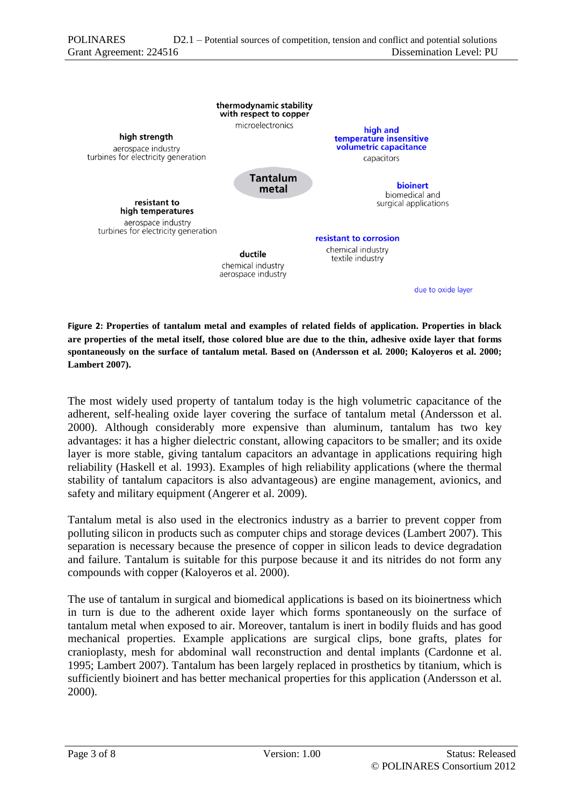

<span id="page-3-0"></span>**Figure 2: Properties of tantalum metal and examples of related fields of application. Properties in black are properties of the metal itself, those colored blue are due to the thin, adhesive oxide layer that forms spontaneously on the surface of tantalum metal. Based on (Andersson et al. 2000; Kaloyeros et al. 2000; Lambert 2007).**

The most widely used property of tantalum today is the high volumetric capacitance of the adherent, self-healing oxide layer covering the surface of tantalum metal (Andersson et al. 2000). Although considerably more expensive than aluminum, tantalum has two key advantages: it has a higher dielectric constant, allowing capacitors to be smaller; and its oxide layer is more stable, giving tantalum capacitors an advantage in applications requiring high reliability (Haskell et al. 1993). Examples of high reliability applications (where the thermal stability of tantalum capacitors is also advantageous) are engine management, avionics, and safety and military equipment (Angerer et al. 2009).

Tantalum metal is also used in the electronics industry as a barrier to prevent copper from polluting silicon in products such as computer chips and storage devices (Lambert 2007). This separation is necessary because the presence of copper in silicon leads to device degradation and failure. Tantalum is suitable for this purpose because it and its nitrides do not form any compounds with copper (Kaloyeros et al. 2000).

The use of tantalum in surgical and biomedical applications is based on its bioinertness which in turn is due to the adherent oxide layer which forms spontaneously on the surface of tantalum metal when exposed to air. Moreover, tantalum is inert in bodily fluids and has good mechanical properties. Example applications are surgical clips, bone grafts, plates for cranioplasty, mesh for abdominal wall reconstruction and dental implants (Cardonne et al. 1995; Lambert 2007). Tantalum has been largely replaced in prosthetics by titanium, which is sufficiently bioinert and has better mechanical properties for this application (Andersson et al. 2000).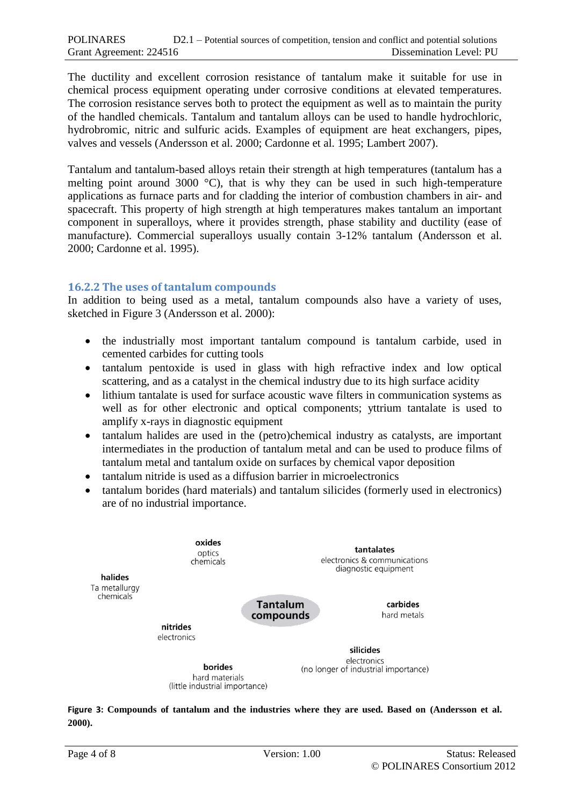The ductility and excellent corrosion resistance of tantalum make it suitable for use in chemical process equipment operating under corrosive conditions at elevated temperatures. The corrosion resistance serves both to protect the equipment as well as to maintain the purity of the handled chemicals. Tantalum and tantalum alloys can be used to handle hydrochloric, hydrobromic, nitric and sulfuric acids. Examples of equipment are heat exchangers, pipes, valves and vessels (Andersson et al. 2000; Cardonne et al. 1995; Lambert 2007).

Tantalum and tantalum-based alloys retain their strength at high temperatures (tantalum has a melting point around 3000 °C), that is why they can be used in such high-temperature applications as furnace parts and for cladding the interior of combustion chambers in air- and spacecraft. This property of high strength at high temperatures makes tantalum an important component in superalloys, where it provides strength, phase stability and ductility (ease of manufacture). Commercial superalloys usually contain 3-12% tantalum (Andersson et al. 2000; Cardonne et al. 1995).

#### **16.2.2 The uses of tantalum compounds**

In addition to being used as a metal, tantalum compounds also have a variety of uses, sketched in Figure 3 (Andersson et al. 2000):

- the industrially most important tantalum compound is tantalum carbide, used in cemented carbides for cutting tools
- tantalum pentoxide is used in glass with high refractive index and low optical scattering, and as a catalyst in the chemical industry due to its high surface acidity
- lithium tantalate is used for surface acoustic wave filters in communication systems as well as for other electronic and optical components; yttrium tantalate is used to amplify x-rays in diagnostic equipment
- tantalum halides are used in the (petro)chemical industry as catalysts, are important intermediates in the production of tantalum metal and can be used to produce films of tantalum metal and tantalum oxide on surfaces by chemical vapor deposition
- tantalum nitride is used as a diffusion barrier in microelectronics
- tantalum borides (hard materials) and tantalum silicides (formerly used in electronics) are of no industrial importance.



**Figure 3: Compounds of tantalum and the industries where they are used. Based on (Andersson et al. 2000).**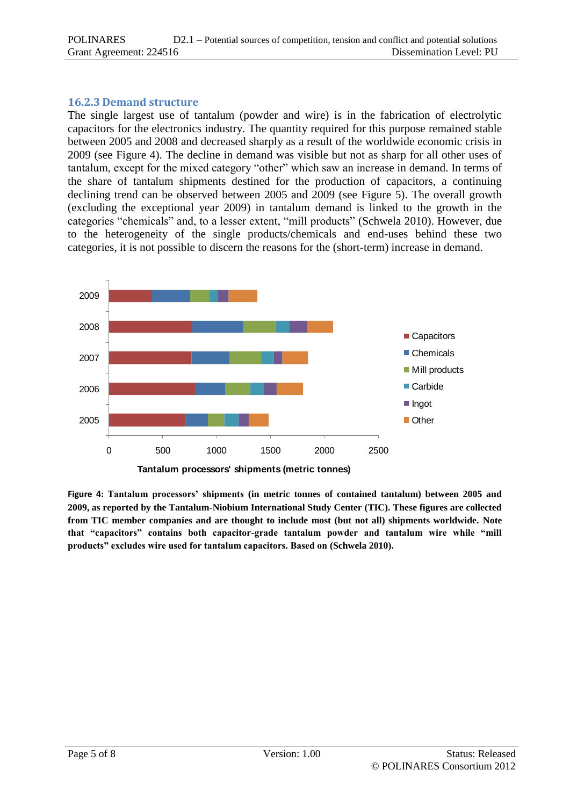#### **16.2.3 Demand structure**

The single largest use of tantalum (powder and wire) is in the fabrication of electrolytic capacitors for the electronics industry. The quantity required for this purpose remained stable between 2005 and 2008 and decreased sharply as a result of the worldwide economic crisis in 2009 (see Figure 4). The decline in demand was visible but not as sharp for all other uses of tantalum, except for the mixed category "other" which saw an increase in demand. In terms of the share of tantalum shipments destined for the production of capacitors, a continuing declining trend can be observed between 2005 and 2009 (see Figure 5). The overall growth (excluding the exceptional year 2009) in tantalum demand is linked to the growth in the categories "chemicals" and, to a lesser extent, "mill products" (Schwela 2010). However, due to the heterogeneity of the single products/chemicals and end-uses behind these two categories, it is not possible to discern the reasons for the (short-term) increase in demand.



**Figure 4: Tantalum processors' shipments (in metric tonnes of contained tantalum) between 2005 and 2009, as reported by the Tantalum-Niobium International Study Center (TIC). These figures are collected from TIC member companies and are thought to include most (but not all) shipments worldwide. Note that "capacitors" contains both capacitor-grade tantalum powder and tantalum wire while "mill products" excludes wire used for tantalum capacitors. Based on (Schwela 2010).**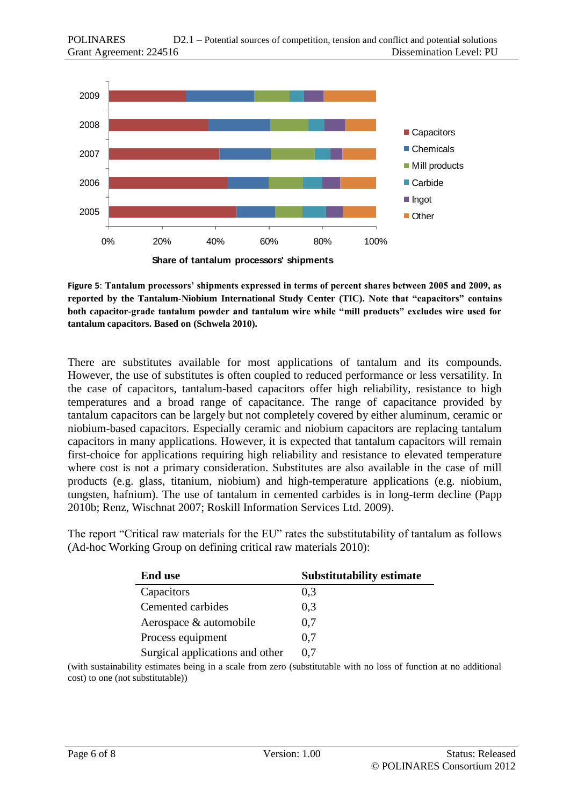

**Figure 5**: **Tantalum processors' shipments expressed in terms of percent shares between 2005 and 2009, as reported by the Tantalum-Niobium International Study Center (TIC). Note that "capacitors" contains both capacitor-grade tantalum powder and tantalum wire while "mill products" excludes wire used for tantalum capacitors. Based on (Schwela 2010).**

There are substitutes available for most applications of tantalum and its compounds. However, the use of substitutes is often coupled to reduced performance or less versatility. In the case of capacitors, tantalum-based capacitors offer high reliability, resistance to high temperatures and a broad range of capacitance. The range of capacitance provided by tantalum capacitors can be largely but not completely covered by either aluminum, ceramic or niobium-based capacitors. Especially ceramic and niobium capacitors are replacing tantalum capacitors in many applications. However, it is expected that tantalum capacitors will remain first-choice for applications requiring high reliability and resistance to elevated temperature where cost is not a primary consideration. Substitutes are also available in the case of mill products (e.g. glass, titanium, niobium) and high-temperature applications (e.g. niobium, tungsten, hafnium). The use of tantalum in cemented carbides is in long-term decline (Papp 2010b; Renz, Wischnat 2007; Roskill Information Services Ltd. 2009).

The report "Critical raw materials for the EU" rates the substitutability of tantalum as follows (Ad-hoc Working Group on defining critical raw materials 2010):

| <b>End use</b>                  | <b>Substitutability estimate</b> |
|---------------------------------|----------------------------------|
| Capacitors                      | 0,3                              |
| Cemented carbides               | 0.3                              |
| Aerospace & automobile          | 0.7                              |
| Process equipment               | 0.7                              |
| Surgical applications and other | 0.7                              |

(with sustainability estimates being in a scale from zero (substitutable with no loss of function at no additional cost) to one (not substitutable))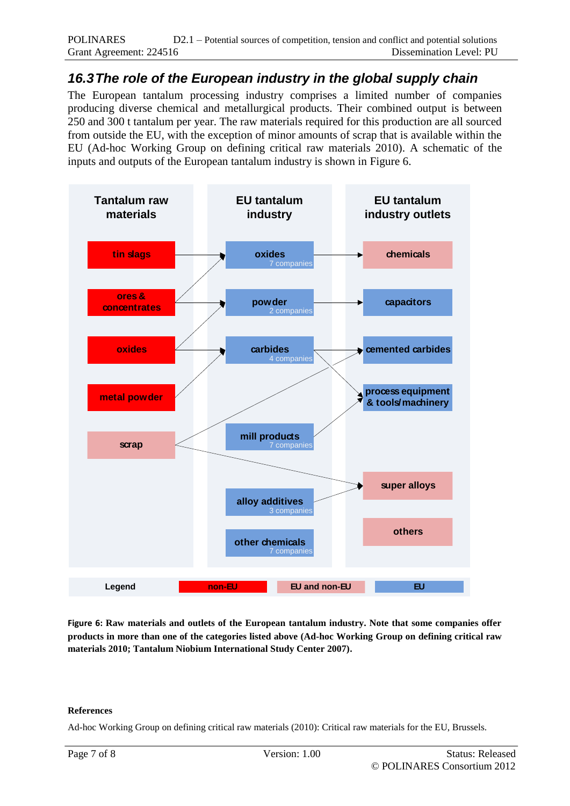# *16.3The role of the European industry in the global supply chain*

The European tantalum processing industry comprises a limited number of companies producing diverse chemical and metallurgical products. Their combined output is between 250 and 300 t tantalum per year. The raw materials required for this production are all sourced from outside the EU, with the exception of minor amounts of scrap that is available within the EU (Ad-hoc Working Group on defining critical raw materials 2010). A schematic of the inputs and outputs of the European tantalum industry is shown in Figure 6.



**Figure 6: Raw materials and outlets of the European tantalum industry. Note that some companies offer products in more than one of the categories listed above (Ad-hoc Working Group on defining critical raw materials 2010; Tantalum Niobium International Study Center 2007).**

#### **References**

Ad-hoc Working Group on defining critical raw materials (2010): Critical raw materials for the EU, Brussels.